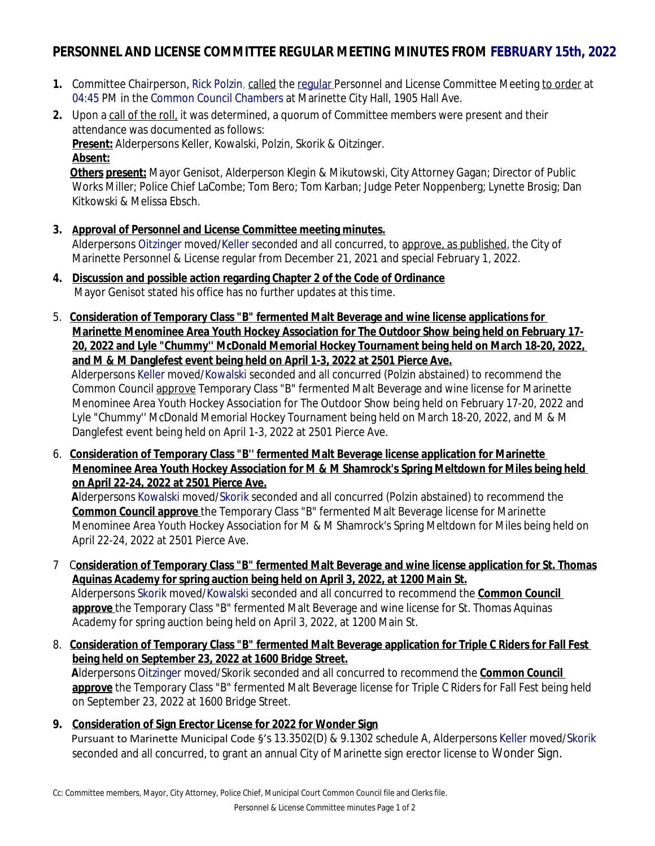# **PERSONNEL AND LICENSE COMMITTEE REGULAR MEETING MINUTES FROM FEBRUARY 15th, 2022**

- **1.** Committee Chairperson, Rick Polzin, called the regular Personnel and License Committee Meeting to order at 04:45 PM in the Common Council Chambers at Marinette City Hall, 1905 Hall Ave.
- **2.** Upon a call of the roll, it was determined, a quorum of Committee members were present and their attendance was documented as follows: **Present:** Alderpersons Keller, Kowalski, Polzin, Skorik & Oitzinger. **Absent:**

**Others present:** Mayor Genisot, Alderperson Klegin & Mikutowski, City Attorney Gagan; Director of Public Works Miller; Police Chief LaCombe; Tom Bero; Tom Karban; Judge Peter Noppenberg; Lynette Brosig; Dan Kitkowski & Melissa Ebsch.

- **3. Approval of Personnel and License Committee meeting minutes.** Alderpersons Oitzinger moved/Keller seconded and all concurred, to approve, as published, the City of Marinette Personnel & License regular from December 21, 2021 and special February 1, 2022.
- **4. Discussion and possible action regarding Chapter 2 of the Code of Ordinance** Mayor Genisot stated his office has no further updates at this time.
- 5. **Consideration of Temporary Class "B" fermented Malt Beverage and wine license applications for Marinette Menominee Area Youth Hockey Association for The Outdoor Show being held on February 17- 20, 2022 and Lyle "Chummy'' McDonald Memorial Hockey Tournament being held on March 18-20, 2022, and M & M Danglefest event being held on April 1-3, 2022 at 2501 Pierce Ave.**

Alderpersons Keller moved/Kowalski seconded and all concurred (Polzin abstained) to recommend the Common Council approve Temporary Class "B" fermented Malt Beverage and wine license for Marinette Menominee Area Youth Hockey Association for The Outdoor Show being held on February 17-20, 2022 and Lyle "Chummy'' McDonald Memorial Hockey Tournament being held on March 18-20, 2022, and M & M Danglefest event being held on April 1-3, 2022 at 2501 Pierce Ave.

6. **Consideration of Temporary Class "B'' fermented Malt Beverage license application for Marinette Menominee Area Youth Hockey Association for M & M Shamrock's Spring Meltdown for Miles being held on April 22-24, 2022 at 2501 Pierce Ave.**

 **A**lderpersons Kowalski moved/Skorik seconded and all concurred (Polzin abstained) to recommend the **Common Council approve** the Temporary Class "B" fermented Malt Beverage license for Marinette Menominee Area Youth Hockey Association for M & M Shamrock's Spring Meltdown for Miles being held on April 22-24, 2022 at 2501 Pierce Ave.

- 7 C**onsideration of Temporary Class "B" fermented Malt Beverage and wine license application for St. Thomas Aquinas Academy for spring auction being held on April 3, 2022, at 1200 Main St.** Alderpersons Skorik moved/Kowalski seconded and all concurred to recommend the **Common Council approve** the Temporary Class "B" fermented Malt Beverage and wine license for St. Thomas Aquinas Academy for spring auction being held on April 3, 2022, at 1200 Main St.
- 8. **Consideration of Temporary Class "B" fermented Malt Beverage application for Triple C Riders for Fall Fest being held on September 23, 2022 at 1600 Bridge Street. A**lderpersons Oitzinger moved/Skorik seconded and all concurred to recommend the **Common Council**

**approve** the Temporary Class "B" fermented Malt Beverage license for Triple C Riders for Fall Fest being held on September 23, 2022 at 1600 Bridge Street.

**9. Consideration of Sign Erector License for 2022 for Wonder Sign** Pursuant to Marinette Municipal Code §'s 13.3502(D) & 9.1302 schedule A, Alderpersons Keller moved/Skorik seconded and all concurred, to grant an annual City of Marinette sign erector license to Wonder Sign.